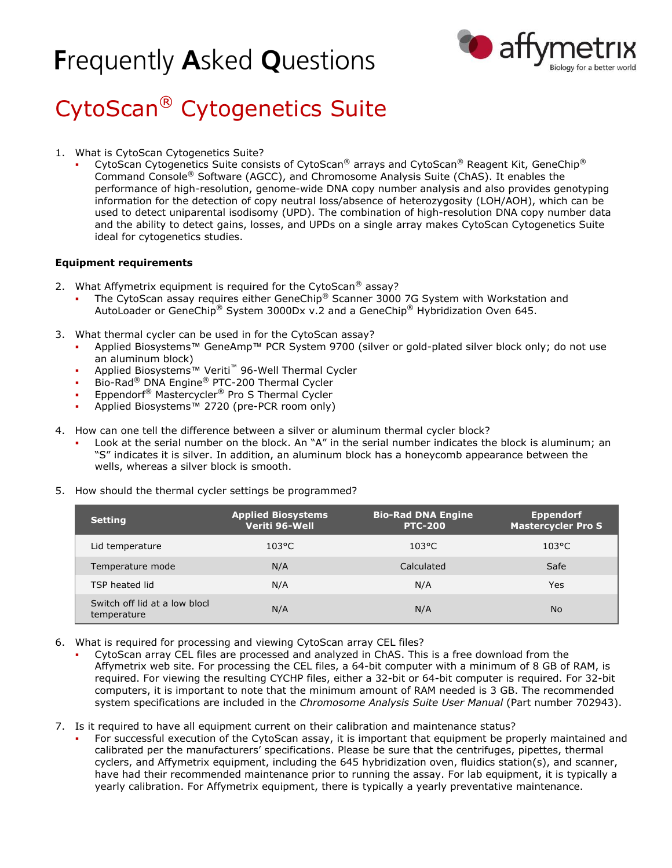# **Frequently Asked Questions**



# CytoScan® Cytogenetics Suite

- 1. What is CytoScan Cytogenetics Suite?
	- CytoScan Cytogenetics Suite consists of CytoScan® arrays and CytoScan® Reagent Kit, GeneChip® Command Console® Software (AGCC), and Chromosome Analysis Suite (ChAS). It enables the performance of high-resolution, genome-wide DNA copy number analysis and also provides genotyping information for the detection of copy neutral loss/absence of heterozygosity (LOH/AOH), which can be used to detect uniparental isodisomy (UPD). The combination of high-resolution DNA copy number data and the ability to detect gains, losses, and UPDs on a single array makes CytoScan Cytogenetics Suite ideal for cytogenetics studies.

# **Equipment requirements**

- 2. What Affymetrix equipment is required for the CytoScan<sup>®</sup> assay?
	- The CytoScan assay requires either GeneChip® Scanner 3000 7G System with Workstation and AutoLoader or GeneChip® System 3000Dx v.2 and a GeneChip® Hybridization Oven 645.
- 3. What thermal cycler can be used in for the CytoScan assay?
	- Applied Biosystems™ GeneAmp™ PCR System 9700 (silver or gold-plated silver block only; do not use an aluminum block)
	- Applied Biosystems™ Veriti™ 96-Well Thermal Cycler
	- Bio-Rad® DNA Engine® PTC-200 Thermal Cycler
	- Eppendorf® Mastercycler® Pro S Thermal Cycler
	- Applied Biosystems™ 2720 (pre-PCR room only)
- 4. How can one tell the difference between a silver or aluminum thermal cycler block?
	- Look at the serial number on the block. An "A" in the serial number indicates the block is aluminum; an "S" indicates it is silver. In addition, an aluminum block has a honeycomb appearance between the wells, whereas a silver block is smooth.
- 5. How should the thermal cycler settings be programmed?

| <b>Setting</b>                               | <b>Applied Biosystems</b><br>Veriti 96-Well | <b>Bio-Rad DNA Engine</b><br><b>PTC-200</b> | <b>Eppendorf</b><br><b>Mastercycler Pro S</b> |
|----------------------------------------------|---------------------------------------------|---------------------------------------------|-----------------------------------------------|
| Lid temperature                              | $103^{\circ}$ C                             | $103^{\circ}$ C                             | $103^{\circ}$ C                               |
| Temperature mode                             | N/A                                         | Calculated                                  | Safe                                          |
| TSP heated lid                               | N/A                                         | N/A                                         | Yes                                           |
| Switch off lid at a low block<br>temperature | N/A                                         | N/A                                         | <b>No</b>                                     |

- 6. What is required for processing and viewing CytoScan array CEL files?
	- CytoScan array CEL files are processed and analyzed in ChAS. This is a free download from the Affymetrix web site. For processing the CEL files, a 64-bit computer with a minimum of 8 GB of RAM, is required. For viewing the resulting CYCHP files, either a 32-bit or 64-bit computer is required. For 32-bit computers, it is important to note that the minimum amount of RAM needed is 3 GB. The recommended system specifications are included in the *[Chromosome Analysis](http://www.affymetrix.com/support/downloads/manuals/chas_software_user_manual.pdf) Suite User Manual* (Part number 702943).
- 7. Is it required to have all equipment current on their calibration and maintenance status?
	- For successful execution of the CytoScan assay, it is important that equipment be properly maintained and calibrated per the manufacturers' specifications. Please be sure that the centrifuges, pipettes, thermal cyclers, and Affymetrix equipment, including the 645 hybridization oven, fluidics station(s), and scanner, have had their recommended maintenance prior to running the assay. For lab equipment, it is typically a yearly calibration. For Affymetrix equipment, there is typically a yearly preventative maintenance.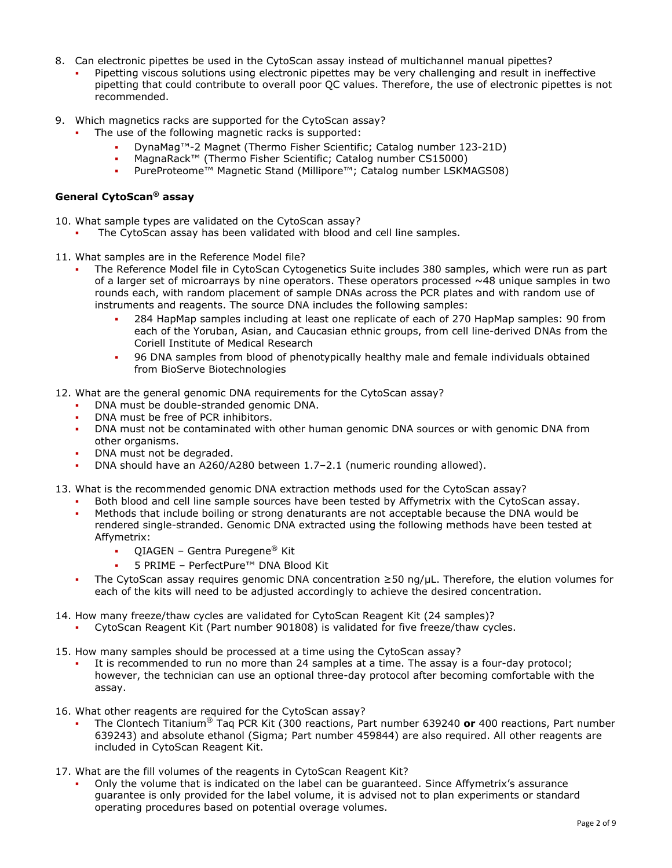- 8. Can electronic pipettes be used in the CytoScan assay instead of multichannel manual pipettes?
	- Pipetting viscous solutions using electronic pipettes may be very challenging and result in ineffective pipetting that could contribute to overall poor QC values. Therefore, the use of electronic pipettes is not recommended.
- 9. Which magnetics racks are supported for the CytoScan assay?
	- The use of the following magnetic racks is supported:
		- DynaMag™-2 Magnet (Thermo Fisher Scientific; Catalog number 123-21D)
		- MagnaRack™ (Thermo Fisher Scientific; Catalog number CS15000)
		- PureProteome™ Magnetic Stand (Millipore™; Catalog number LSKMAGS08)

# **General CytoScan® assay**

- 10. What sample types are validated on the CytoScan assay?
	- The CytoScan assay has been validated with blood and cell line samples.
- 11. What samples are in the Reference Model file?
	- The Reference Model file in CytoScan Cytogenetics Suite includes 380 samples, which were run as part of a larger set of microarrays by nine operators. These operators processed  $\sim$  48 unique samples in two rounds each, with random placement of sample DNAs across the PCR plates and with random use of instruments and reagents. The source DNA includes the following samples:
		- 284 HapMap samples including at least one replicate of each of 270 HapMap samples: 90 from each of the Yoruban, Asian, and Caucasian ethnic groups, from cell line-derived DNAs from the Coriell Institute of Medical Research
		- 96 DNA samples from blood of phenotypically healthy male and female individuals obtained from BioServe Biotechnologies
- 12. What are the general genomic DNA requirements for the CytoScan assay?
	- DNA must be double-stranded genomic DNA.
	- DNA must be free of PCR inhibitors.
	- DNA must not be contaminated with other human genomic DNA sources or with genomic DNA from other organisms.
	- DNA must not be degraded.
	- DNA should have an A260/A280 between 1.7–2.1 (numeric rounding allowed).
- 13. What is the recommended genomic DNA extraction methods used for the CytoScan assay?
	- Both blood and cell line sample sources have been tested by Affymetrix with the CytoScan assay.
	- Methods that include boiling or strong denaturants are not acceptable because the DNA would be rendered single-stranded. Genomic DNA extracted using the following methods have been tested at Affymetrix:
		- QIAGEN Gentra Puregene® Kit
		- 5 PRIME PerfectPure™ DNA Blood Kit
	- The CytoScan assay requires genomic DNA concentration ≥50 ng/µL. Therefore, the elution volumes for each of the kits will need to be adjusted accordingly to achieve the desired concentration.
- 14. How many freeze/thaw cycles are validated for CytoScan Reagent Kit (24 samples)?
	- CytoScan Reagent Kit (Part number 901808) is validated for five freeze/thaw cycles.
- 15. How many samples should be processed at a time using the CytoScan assay?
	- It is recommended to run no more than 24 samples at a time. The assay is a four-day protocol; however, the technician can use an optional three-day protocol after becoming comfortable with the assay.
- 16. What other reagents are required for the CytoScan assay?
	- The Clontech Titanium® Taq PCR Kit (300 reactions, Part number 639240 **or** 400 reactions, Part number 639243) and absolute ethanol (Sigma; Part number 459844) are also required. All other reagents are included in CytoScan Reagent Kit.
- 17. What are the fill volumes of the reagents in CytoScan Reagent Kit?
	- Only the volume that is indicated on the label can be guaranteed. Since Affymetrix's assurance guarantee is only provided for the label volume, it is advised not to plan experiments or standard operating procedures based on potential overage volumes.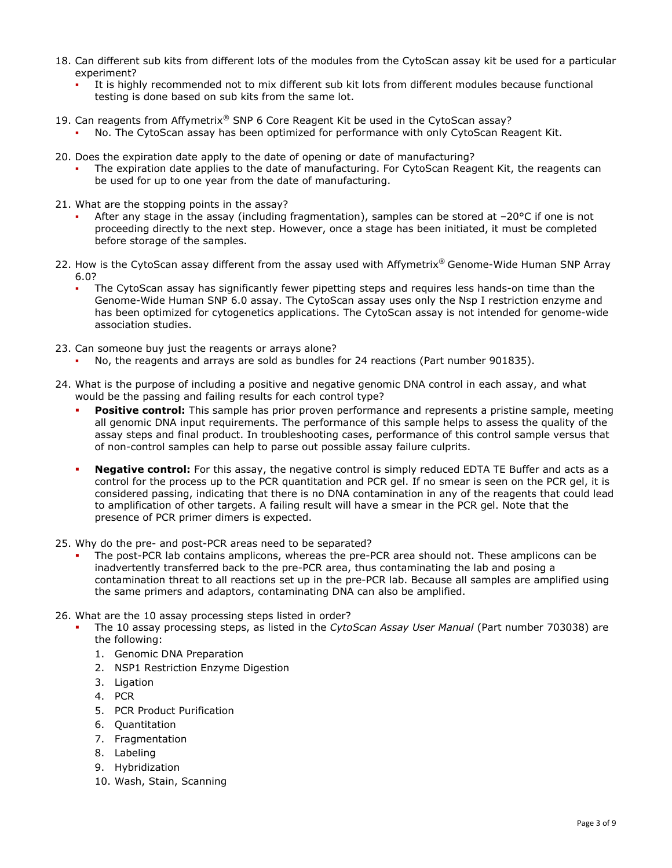- 18. Can different sub kits from different lots of the modules from the CytoScan assay kit be used for a particular experiment?
	- It is highly recommended not to mix different sub kit lots from different modules because functional testing is done based on sub kits from the same lot.
- 19. Can reagents from Affymetrix® SNP 6 Core Reagent Kit be used in the CytoScan assay?
	- No. The CytoScan assay has been optimized for performance with only CytoScan Reagent Kit.
- 20. Does the expiration date apply to the date of opening or date of manufacturing?
	- The expiration date applies to the date of manufacturing. For CytoScan Reagent Kit, the reagents can be used for up to one year from the date of manufacturing.
- 21. What are the stopping points in the assay?
	- After any stage in the assay (including fragmentation), samples can be stored at –20°C if one is not proceeding directly to the next step. However, once a stage has been initiated, it must be completed before storage of the samples.
- 22. How is the CytoScan assay different from the assay used with Affymetrix® Genome-Wide Human SNP Array 6.0?
	- The CytoScan assay has significantly fewer pipetting steps and requires less hands-on time than the Genome-Wide Human SNP 6.0 assay. The CytoScan assay uses only the Nsp I restriction enzyme and has been optimized for cytogenetics applications. The CytoScan assay is not intended for genome-wide association studies.
- 23. Can someone buy just the reagents or arrays alone?
	- No, the reagents and arrays are sold as bundles for 24 reactions (Part number 901835).
- 24. What is the purpose of including a positive and negative genomic DNA control in each assay, and what would be the passing and failing results for each control type?
	- **Positive control:** This sample has prior proven performance and represents a pristine sample, meeting all genomic DNA input requirements. The performance of this sample helps to assess the quality of the assay steps and final product. In troubleshooting cases, performance of this control sample versus that of non-control samples can help to parse out possible assay failure culprits.
	- **Negative control:** For this assay, the negative control is simply reduced EDTA TE Buffer and acts as a control for the process up to the PCR quantitation and PCR gel. If no smear is seen on the PCR gel, it is considered passing, indicating that there is no DNA contamination in any of the reagents that could lead to amplification of other targets. A failing result will have a smear in the PCR gel. Note that the presence of PCR primer dimers is expected.
- 25. Why do the pre- and post-PCR areas need to be separated?
	- The post-PCR lab contains amplicons, whereas the pre-PCR area should not. These amplicons can be inadvertently transferred back to the pre-PCR area, thus contaminating the lab and posing a contamination threat to all reactions set up in the pre-PCR lab. Because all samples are amplified using the same primers and adaptors, contaminating DNA can also be amplified.
- 26. What are the 10 assay processing steps listed in order?
	- The 10 assay processing steps, as listed in the *CytoScan Assay User Manual* (Part number 703038) are the following:
		- 1. Genomic DNA Preparation
		- 2. NSP1 Restriction Enzyme Digestion
		- 3. Ligation
		- 4. PCR
		- 5. PCR Product Purification
		- 6. Quantitation
		- 7. Fragmentation
		- 8. Labeling
		- 9. Hybridization
		- 10. Wash, Stain, Scanning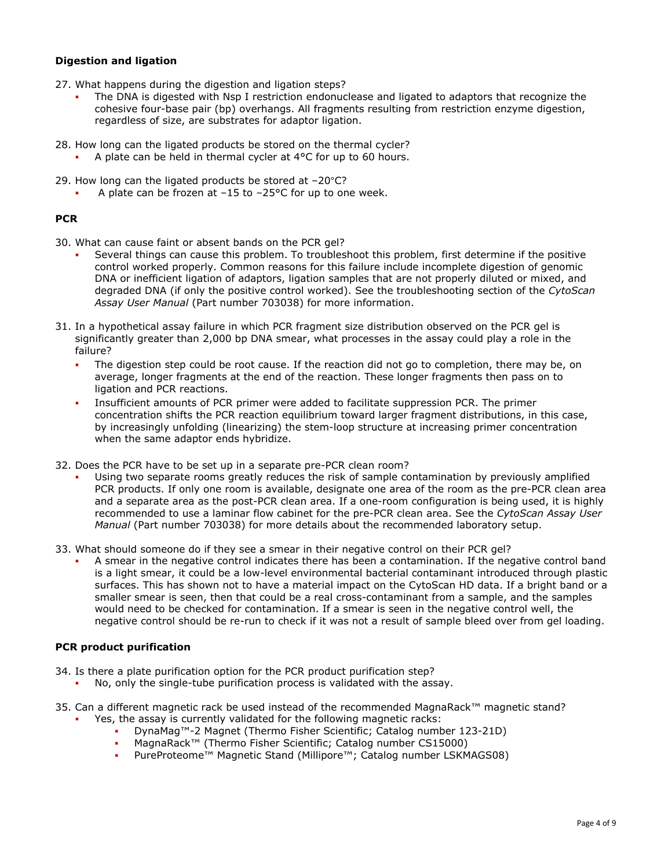# **Digestion and ligation**

- 27. What happens during the digestion and ligation steps?
	- The DNA is digested with Nsp I restriction endonuclease and ligated to adaptors that recognize the cohesive four-base pair (bp) overhangs. All fragments resulting from restriction enzyme digestion, regardless of size, are substrates for adaptor ligation.
- 28. How long can the ligated products be stored on the thermal cycler?
	- A plate can be held in thermal cycler at 4°C for up to 60 hours.
- 29. How long can the ligated products be stored at –20°C?
	- A plate can be frozen at –15 to –25°C for up to one week.

# **PCR**

- 30. What can cause faint or absent bands on the PCR gel?
	- Several things can cause this problem. To troubleshoot this problem, first determine if the positive control worked properly. Common reasons for this failure include incomplete digestion of genomic DNA or inefficient ligation of adaptors, ligation samples that are not properly diluted or mixed, and degraded DNA (if only the positive control worked). See the troubleshooting section of the *CytoScan Assay User Manual* (Part number 703038) for more information.
- 31. In a hypothetical assay failure in which PCR fragment size distribution observed on the PCR gel is significantly greater than 2,000 bp DNA smear, what processes in the assay could play a role in the failure?
	- The digestion step could be root cause. If the reaction did not go to completion, there may be, on average, longer fragments at the end of the reaction. These longer fragments then pass on to ligation and PCR reactions.
	- Insufficient amounts of PCR primer were added to facilitate suppression PCR. The primer concentration shifts the PCR reaction equilibrium toward larger fragment distributions, in this case, by increasingly unfolding (linearizing) the stem-loop structure at increasing primer concentration when the same adaptor ends hybridize.
- 32. Does the PCR have to be set up in a separate pre-PCR clean room?
	- Using two separate rooms greatly reduces the risk of sample contamination by previously amplified PCR products. If only one room is available, designate one area of the room as the pre-PCR clean area and a separate area as the post-PCR clean area. If a one-room configuration is being used, it is highly recommended to use a laminar flow cabinet for the pre-PCR clean area. See the *CytoScan Assay User Manual* (Part number 703038) for more details about the recommended laboratory setup.
- 33. What should someone do if they see a smear in their negative control on their PCR gel?
	- A smear in the negative control indicates there has been a contamination. If the negative control band is a light smear, it could be a low-level environmental bacterial contaminant introduced through plastic surfaces. This has shown not to have a material impact on the CytoScan HD data. If a bright band or a smaller smear is seen, then that could be a real cross-contaminant from a sample, and the samples would need to be checked for contamination. If a smear is seen in the negative control well, the negative control should be re-run to check if it was not a result of sample bleed over from gel loading.

# **PCR product purification**

- 34. Is there a plate purification option for the PCR product purification step?
	- No, only the single-tube purification process is validated with the assay.
- 35. Can a different magnetic rack be used instead of the recommended MagnaRack™ magnetic stand?
	- Yes, the assay is currently validated for the following magnetic racks:
		- DynaMag™-2 Magnet (Thermo Fisher Scientific; Catalog number 123-21D) MagnaRack™ (Thermo Fisher Scientific; Catalog number CS15000)
		-
		- PureProteome™ Magnetic Stand (Millipore™; Catalog number LSKMAGS08)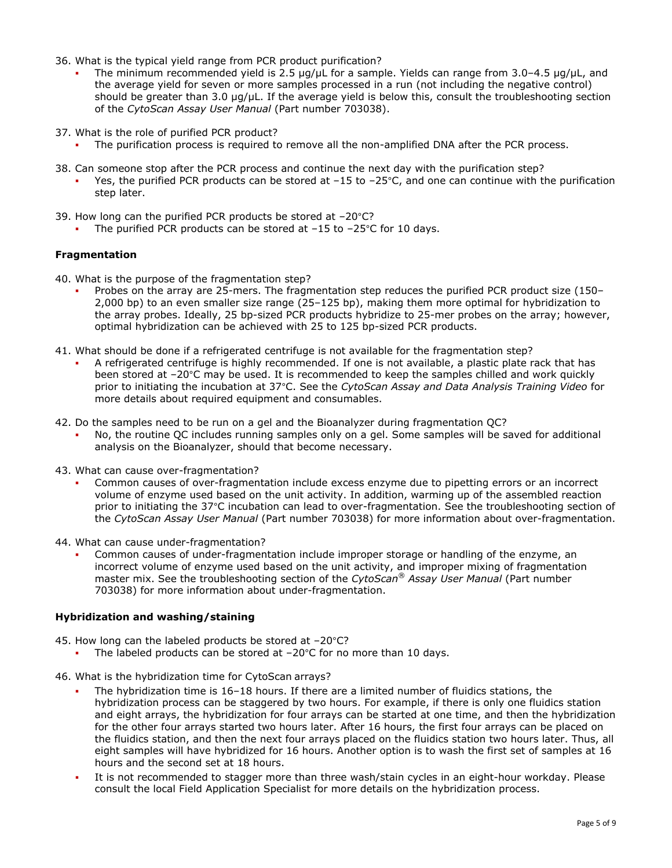- 36. What is the typical yield range from PCR product purification?
	- The minimum recommended yield is 2.5  $\mu q/\mu L$  for a sample. Yields can range from 3.0–4.5  $\mu q/\mu L$ , and the average yield for seven or more samples processed in a run (not including the negative control) should be greater than 3.0 µg/µL. If the average yield is below this, consult the troubleshooting section of the *CytoScan Assay User Manual* (Part number 703038).
- 37. What is the role of purified PCR product?
	- The purification process is required to remove all the non-amplified DNA after the PCR process.
- 38. Can someone stop after the PCR process and continue the next day with the purification step?
	- Yes, the purified PCR products can be stored at –15 to –25°C, and one can continue with the purification step later.
- 39. How long can the purified PCR products be stored at –20°C?
	- The purified PCR products can be stored at –15 to –25°C for 10 days.

#### **Fragmentation**

- 40. What is the purpose of the fragmentation step?
	- Probes on the array are 25-mers. The fragmentation step reduces the purified PCR product size (150– 2,000 bp) to an even smaller size range (25–125 bp), making them more optimal for hybridization to the array probes. Ideally, 25 bp-sized PCR products hybridize to 25-mer probes on the array; however, optimal hybridization can be achieved with 25 to 125 bp-sized PCR products.
- 41. What should be done if a refrigerated centrifuge is not available for the fragmentation step?
	- A refrigerated centrifuge is highly recommended. If one is not available, a plastic plate rack that has been stored at –20°C may be used. It is recommended to keep the samples chilled and work quickly prior to initiating the incubation at 37°C. See the *CytoScan Assay and Data Analysis Training Video* for more details about required equipment and consumables.
- 42. Do the samples need to be run on a gel and the Bioanalyzer during fragmentation QC?
	- No, the routine QC includes running samples only on a gel. Some samples will be saved for additional analysis on the Bioanalyzer, should that become necessary.
- 43. What can cause over-fragmentation?
	- Common causes of over-fragmentation include excess enzyme due to pipetting errors or an incorrect volume of enzyme used based on the unit activity. In addition, warming up of the assembled reaction prior to initiating the 37°C incubation can lead to over-fragmentation. See the troubleshooting section of the *CytoScan Assay User Manual* (Part number 703038) for more information about over-fragmentation.
- 44. What can cause under-fragmentation?
	- Common causes of under-fragmentation include improper storage or handling of the enzyme, an incorrect volume of enzyme used based on the unit activity, and improper mixing of fragmentation master mix. See the troubleshooting section of the *CytoScan® Assay User Manual* (Part number 703038) for more information about under-fragmentation.

# **Hybridization and washing/staining**

- 45. How long can the labeled products be stored at –20°C?
	- The labeled products can be stored at –20°C for no more than 10 days.
- 46. What is the hybridization time for CytoScan arrays?
	- The hybridization time is 16–18 hours. If there are a limited number of fluidics stations, the hybridization process can be staggered by two hours. For example, if there is only one fluidics station and eight arrays, the hybridization for four arrays can be started at one time, and then the hybridization for the other four arrays started two hours later. After 16 hours, the first four arrays can be placed on the fluidics station, and then the next four arrays placed on the fluidics station two hours later. Thus, all eight samples will have hybridized for 16 hours. Another option is to wash the first set of samples at 16 hours and the second set at 18 hours.
	- It is not recommended to stagger more than three wash/stain cycles in an eight-hour workday. Please consult the local Field Application Specialist for more details on the hybridization process.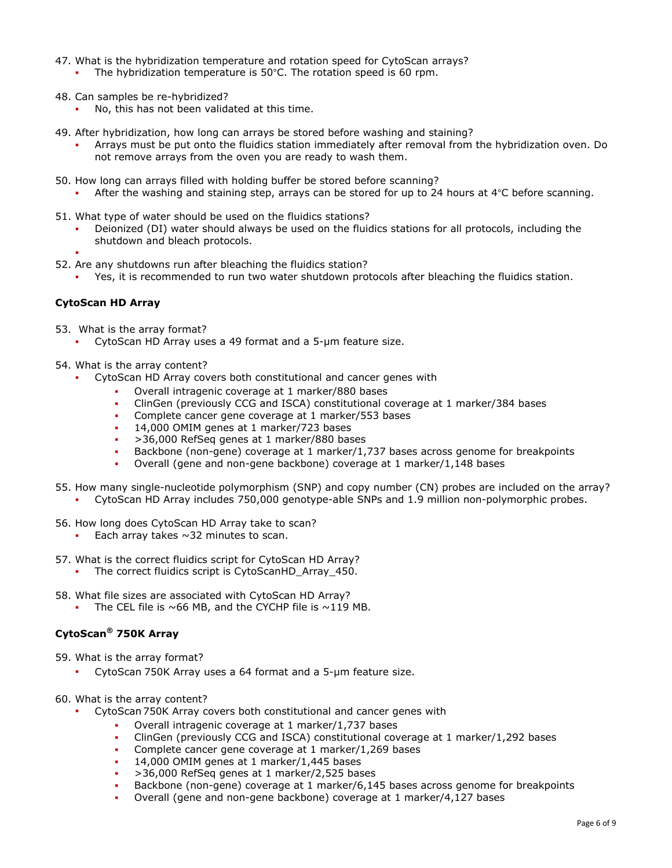- 47. What is the hybridization temperature and rotation speed for CytoScan arrays?
	- The hybridization temperature is 50°C. The rotation speed is 60 rpm.
- 48. Can samples be re-hybridized?
	- No, this has not been validated at this time.
- 49. After hybridization, how long can arrays be stored before washing and staining?
	- Arrays must be put onto the fluidics station immediately after removal from the hybridization oven. Do not remove arrays from the oven you are ready to wash them.
- 50. How long can arrays filled with holding buffer be stored before scanning?
	- After the washing and staining step, arrays can be stored for up to 24 hours at 4°C before scanning.
- 51. What type of water should be used on the fluidics stations?
	- Deionized (DI) water should always be used on the fluidics stations for all protocols, including the shutdown and bleach protocols.
	- ×
- 52. Are any shutdowns run after bleaching the fluidics station?
	- Yes, it is recommended to run two water shutdown protocols after bleaching the fluidics station.

# **CytoScan HD Array**

- 53. What is the array format?
	- CytoScan HD Array uses a 49 format and a 5-µm feature size.
- 54. What is the array content?
	- CytoScan HD Array covers both constitutional and cancer genes with
		- Overall intragenic coverage at 1 marker/880 bases
		- ClinGen (previously CCG and ISCA) constitutional coverage at 1 marker/384 bases
		- Complete cancer gene coverage at 1 marker/553 bases
		- 14,000 OMIM genes at 1 marker/723 bases
		- >36,000 RefSeq genes at 1 marker/880 bases
		- Backbone (non-gene) coverage at 1 marker/1,737 bases across genome for breakpoints
		- Overall (gene and non-gene backbone) coverage at 1 marker/1,148 bases
- 55. How many single-nucleotide polymorphism (SNP) and copy number (CN) probes are included on the array? CytoScan HD Array includes 750,000 genotype-able SNPs and 1.9 million non-polymorphic probes.
- 56. How long does CytoScan HD Array take to scan?
	- Each array takes  $\sim$ 32 minutes to scan.
- 57. What is the correct fluidics script for CytoScan HD Array?
	- The correct fluidics script is CytoScanHD\_Array\_450.
- 58. What file sizes are associated with CytoScan HD Array?
	- The CEL file is  $\sim$  66 MB, and the CYCHP file is  $\sim$  119 MB.

# **CytoScan® 750K Array**

- 59. What is the array format?
	- CytoScan 750K Array uses a 64 format and a 5-µm feature size.
- 60. What is the array content?
	- CytoScan 750K Array covers both constitutional and cancer genes with
		- Overall intragenic coverage at 1 marker/1,737 bases
		- ClinGen (previously CCG and ISCA) constitutional coverage at 1 marker/1,292 bases
		- Complete cancer gene coverage at 1 marker/1,269 bases
		- 14,000 OMIM genes at 1 marker/1,445 bases
		- >36,000 RefSeq genes at 1 marker/2,525 bases
		- Backbone (non-gene) coverage at 1 marker/6,145 bases across genome for breakpoints
		- Overall (gene and non-gene backbone) coverage at 1 marker/4,127 bases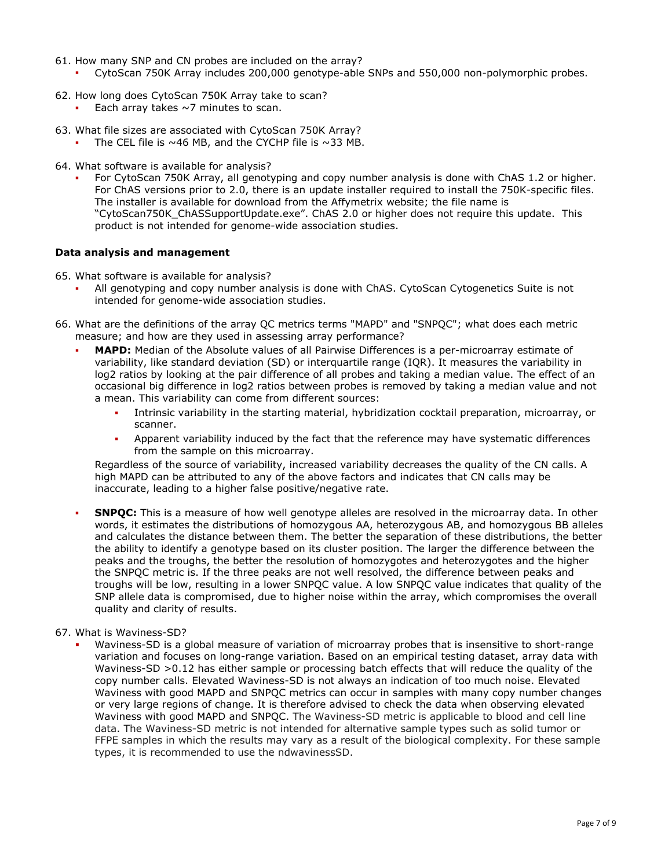- 61. How many SNP and CN probes are included on the array?
	- CytoScan 750K Array includes 200,000 genotype-able SNPs and 550,000 non-polymorphic probes.
- 62. How long does CytoScan 750K Array take to scan?
	- Each array takes  $\sim$  7 minutes to scan.
- 63. What file sizes are associated with CytoScan 750K Array?
	- The CEL file is  $\sim$ 46 MB, and the CYCHP file is  $\sim$ 33 MB.
- 64. What software is available for analysis?
	- For CytoScan 750K Array, all genotyping and copy number analysis is done with ChAS 1.2 or higher. For ChAS versions prior to 2.0, there is an update installer required to install the 750K-specific files. The installer is available for download from the Affymetrix website; the file name is "CytoScan750K\_ChASSupportUpdate.exe". ChAS 2.0 or higher does not require this update. This product is not intended for genome-wide association studies.

#### **Data analysis and management**

65. What software is available for analysis?

- All genotyping and copy number analysis is done with ChAS. CytoScan Cytogenetics Suite is not intended for genome-wide association studies.
- 66. What are the definitions of the array QC metrics terms "MAPD" and "SNPQC"; what does each metric measure; and how are they used in assessing array performance?
	- **MAPD:** Median of the Absolute values of all Pairwise Differences is a per-microarray estimate of variability, like standard deviation (SD) or interquartile range (IQR). It measures the variability in log2 ratios by looking at the pair difference of all probes and taking a median value. The effect of an occasional big difference in log2 ratios between probes is removed by taking a median value and not a mean. This variability can come from different sources:
		- Intrinsic variability in the starting material, hybridization cocktail preparation, microarray, or scanner.
		- Apparent variability induced by the fact that the reference may have systematic differences from the sample on this microarray.

Regardless of the source of variability, increased variability decreases the quality of the CN calls. A high MAPD can be attributed to any of the above factors and indicates that CN calls may be inaccurate, leading to a higher false positive/negative rate.

**SNPOC:** This is a measure of how well genotype alleles are resolved in the microarray data. In other words, it estimates the distributions of homozygous AA, heterozygous AB, and homozygous BB alleles and calculates the distance between them. The better the separation of these distributions, the better the ability to identify a genotype based on its cluster position. The larger the difference between the peaks and the troughs, the better the resolution of homozygotes and heterozygotes and the higher the SNPQC metric is. If the three peaks are not well resolved, the difference between peaks and troughs will be low, resulting in a lower SNPQC value. A low SNPQC value indicates that quality of the SNP allele data is compromised, due to higher noise within the array, which compromises the overall quality and clarity of results.

#### 67. What is Waviness-SD?

 Waviness-SD is a global measure of variation of microarray probes that is insensitive to short-range variation and focuses on long-range variation. Based on an empirical testing dataset, array data with Waviness-SD >0.12 has either sample or processing batch effects that will reduce the quality of the copy number calls. Elevated Waviness-SD is not always an indication of too much noise. Elevated Waviness with good MAPD and SNPQC metrics can occur in samples with many copy number changes or very large regions of change. It is therefore advised to check the data when observing elevated Waviness with good MAPD and SNPQC. The Waviness-SD metric is applicable to blood and cell line data. The Waviness-SD metric is not intended for alternative sample types such as solid tumor or FFPE samples in which the results may vary as a result of the biological complexity. For these sample types, it is recommended to use the ndwavinessSD.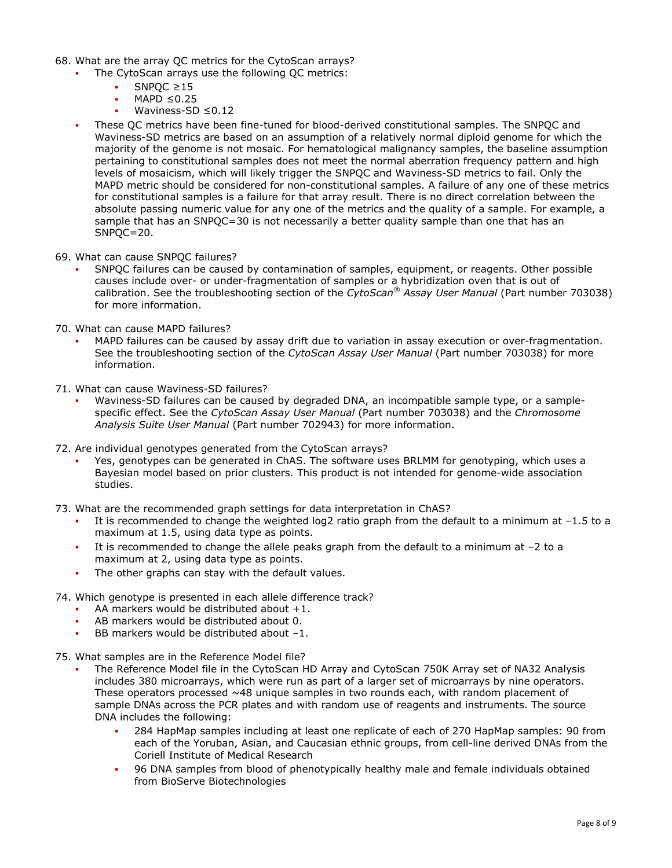- 68. What are the array QC metrics for the CytoScan arrays?
	- The CytoScan arrays use the following QC metrics:
		- SNPOC  $\geq$ 15
		- $MAPD < 0.25$
		- Waviness-SD ≤0.12
	- These QC metrics have been fine-tuned for blood-derived constitutional samples. The SNPQC and Waviness-SD metrics are based on an assumption of a relatively normal diploid genome for which the majority of the genome is not mosaic. For hematological malignancy samples, the baseline assumption pertaining to constitutional samples does not meet the normal aberration frequency pattern and high levels of mosaicism, which will likely trigger the SNPQC and Waviness-SD metrics to fail. Only the MAPD metric should be considered for non-constitutional samples. A failure of any one of these metrics for constitutional samples is a failure for that array result. There is no direct correlation between the absolute passing numeric value for any one of the metrics and the quality of a sample. For example, a sample that has an SNPQC=30 is not necessarily a better quality sample than one that has an SNPQC=20.
- 69. What can cause SNPQC failures?
	- SNPQC failures can be caused by contamination of samples, equipment, or reagents. Other possible causes include over- or under-fragmentation of samples or a hybridization oven that is out of calibration. See the troubleshooting section of the *CytoScan® Assay User Manual* (Part number 703038) for more information.
- 70. What can cause MAPD failures?
	- MAPD failures can be caused by assay drift due to variation in assay execution or over-fragmentation. See the troubleshooting section of the *CytoScan Assay User Manual* (Part number 703038) for more information.
- 71. What can cause Waviness-SD failures?
	- Waviness-SD failures can be caused by degraded DNA, an incompatible sample type, or a samplespecific effect. See the *CytoScan Assay User Manual* (Part number 703038) and the *Chromosome Analysis Suite User Manual* (Part number 702943) for more information.
- 72. Are individual genotypes generated from the CytoScan arrays?
	- Yes, genotypes can be generated in ChAS. The software uses BRLMM for genotyping, which uses a Bayesian model based on prior clusters. This product is not intended for genome-wide association studies.
- 73. What are the recommended graph settings for data interpretation in ChAS?
	- It is recommended to change the weighted log2 ratio graph from the default to a minimum at  $-1.5$  to a maximum at 1.5, using data type as points.
	- It is recommended to change the allele peaks graph from the default to a minimum at –2 to a maximum at 2, using data type as points.
	- The other graphs can stay with the default values.
- 74. Which genotype is presented in each allele difference track?
	- AA markers would be distributed about +1.
	- AB markers would be distributed about 0.
	- BB markers would be distributed about –1.
- 75. What samples are in the Reference Model file?
	- The Reference Model file in the CytoScan HD Array and CytoScan 750K Array set of NA32 Analysis includes 380 microarrays, which were run as part of a larger set of microarrays by nine operators. These operators processed  $~48$  unique samples in two rounds each, with random placement of sample DNAs across the PCR plates and with random use of reagents and instruments. The source DNA includes the following:
		- 284 HapMap samples including at least one replicate of each of 270 HapMap samples: 90 from each of the Yoruban, Asian, and Caucasian ethnic groups, from cell-line derived DNAs from the Coriell Institute of Medical Research
		- 96 DNA samples from blood of phenotypically healthy male and female individuals obtained from BioServe Biotechnologies